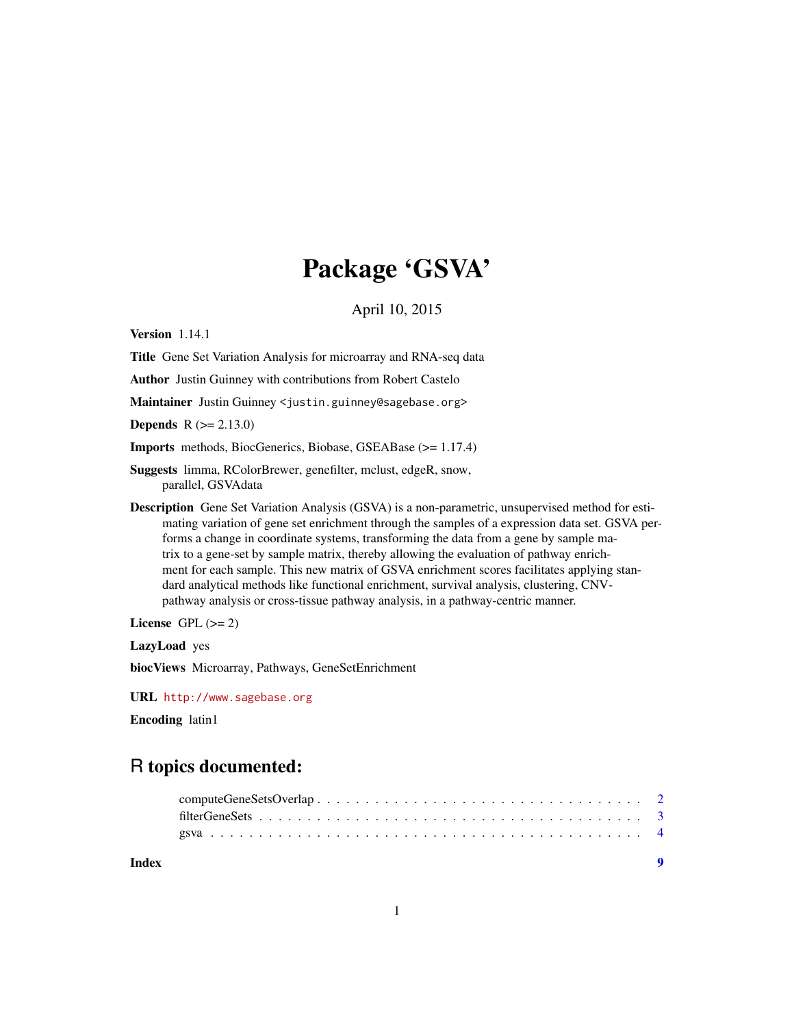## Package 'GSVA'

April 10, 2015

Version 1.14.1

Title Gene Set Variation Analysis for microarray and RNA-seq data

Author Justin Guinney with contributions from Robert Castelo

Maintainer Justin Guinney <justin.guinney@sagebase.org>

**Depends**  $R (= 2.13.0)$ 

Imports methods, BiocGenerics, Biobase, GSEABase (>= 1.17.4)

Suggests limma, RColorBrewer, genefilter, mclust, edgeR, snow, parallel, GSVAdata

Description Gene Set Variation Analysis (GSVA) is a non-parametric, unsupervised method for estimating variation of gene set enrichment through the samples of a expression data set. GSVA performs a change in coordinate systems, transforming the data from a gene by sample matrix to a gene-set by sample matrix, thereby allowing the evaluation of pathway enrichment for each sample. This new matrix of GSVA enrichment scores facilitates applying standard analytical methods like functional enrichment, survival analysis, clustering, CNVpathway analysis or cross-tissue pathway analysis, in a pathway-centric manner.

License GPL  $(>= 2)$ 

LazyLoad yes

biocViews Microarray, Pathways, GeneSetEnrichment

URL <http://www.sagebase.org>

Encoding latin1

### R topics documented:

| Index | $\blacksquare$ |  |
|-------|----------------|--|
|       |                |  |
|       |                |  |
|       |                |  |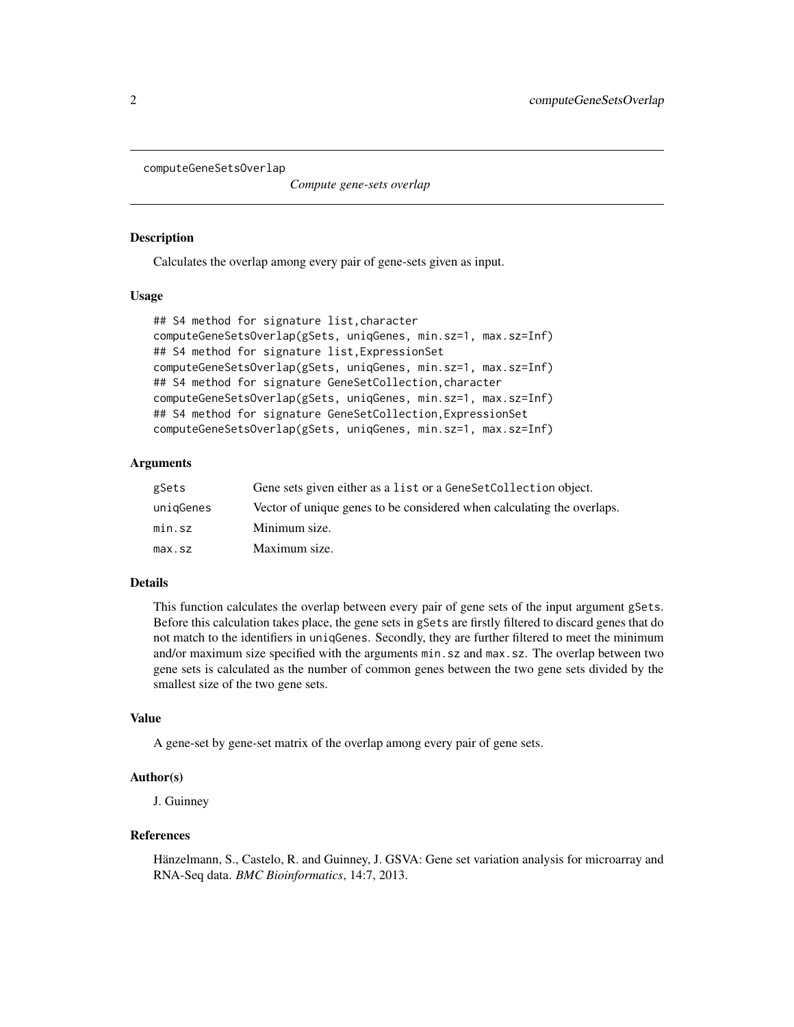<span id="page-1-1"></span><span id="page-1-0"></span>computeGeneSetsOverlap

*Compute gene-sets overlap*

#### **Description**

Calculates the overlap among every pair of gene-sets given as input.

#### Usage

```
## S4 method for signature list,character
computeGeneSetsOverlap(gSets, uniqGenes, min.sz=1, max.sz=Inf)
## S4 method for signature list,ExpressionSet
computeGeneSetsOverlap(gSets, uniqGenes, min.sz=1, max.sz=Inf)
## S4 method for signature GeneSetCollection,character
computeGeneSetsOverlap(gSets, uniqGenes, min.sz=1, max.sz=Inf)
## S4 method for signature GeneSetCollection,ExpressionSet
computeGeneSetsOverlap(gSets, uniqGenes, min.sz=1, max.sz=Inf)
```
#### Arguments

| gSets     | Gene sets given either as a list or a Gene Set Collection object.      |
|-----------|------------------------------------------------------------------------|
| uniqGenes | Vector of unique genes to be considered when calculating the overlaps. |
| min.sz    | Minimum size.                                                          |
| max.sz    | Maximum size.                                                          |

#### Details

This function calculates the overlap between every pair of gene sets of the input argument gSets. Before this calculation takes place, the gene sets in gSets are firstly filtered to discard genes that do not match to the identifiers in uniqGenes. Secondly, they are further filtered to meet the minimum and/or maximum size specified with the arguments min.sz and max.sz. The overlap between two gene sets is calculated as the number of common genes between the two gene sets divided by the smallest size of the two gene sets.

#### Value

A gene-set by gene-set matrix of the overlap among every pair of gene sets.

#### Author(s)

J. Guinney

#### References

Hänzelmann, S., Castelo, R. and Guinney, J. GSVA: Gene set variation analysis for microarray and RNA-Seq data. *BMC Bioinformatics*, 14:7, 2013.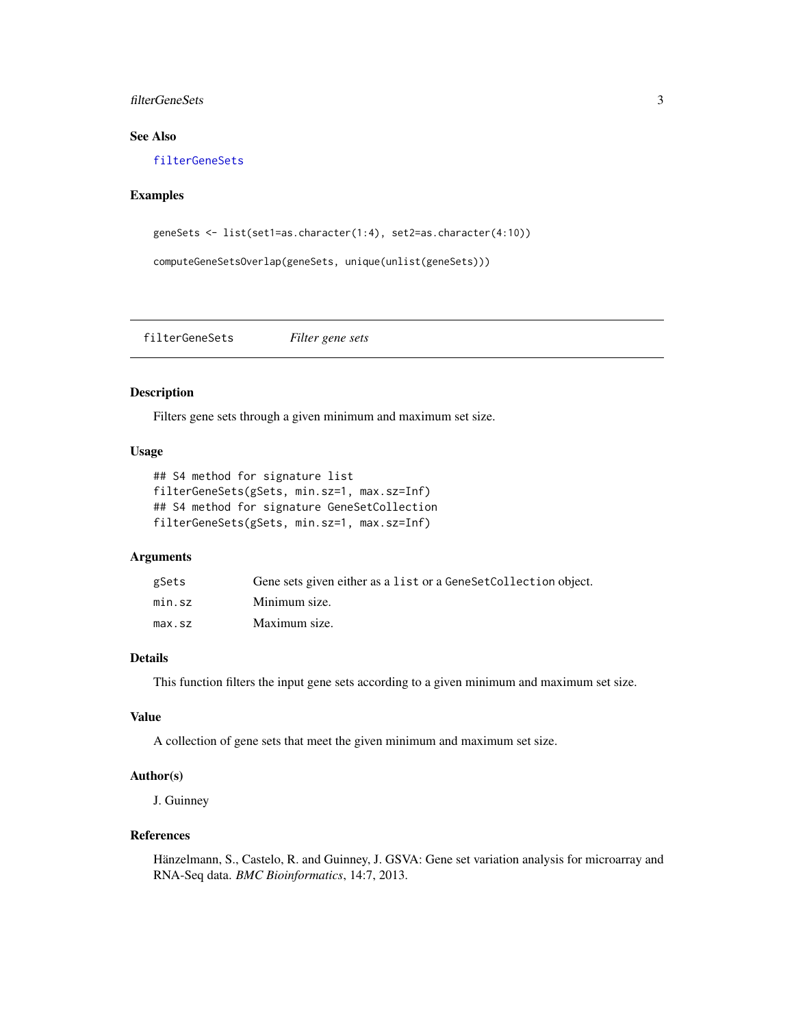#### <span id="page-2-0"></span>filterGeneSets 3

#### See Also

[filterGeneSets](#page-2-1)

#### Examples

```
geneSets <- list(set1=as.character(1:4), set2=as.character(4:10))
```

```
computeGeneSetsOverlap(geneSets, unique(unlist(geneSets)))
```
<span id="page-2-1"></span>filterGeneSets *Filter gene sets*

#### Description

Filters gene sets through a given minimum and maximum set size.

#### Usage

```
## S4 method for signature list
filterGeneSets(gSets, min.sz=1, max.sz=Inf)
## S4 method for signature GeneSetCollection
filterGeneSets(gSets, min.sz=1, max.sz=Inf)
```
#### Arguments

| gSets  | Gene sets given either as a list or a Gene Set Collection object. |
|--------|-------------------------------------------------------------------|
| min.sz | Minimum size.                                                     |
| max.sz | Maximum size.                                                     |

#### Details

This function filters the input gene sets according to a given minimum and maximum set size.

#### Value

A collection of gene sets that meet the given minimum and maximum set size.

#### Author(s)

J. Guinney

#### References

Hänzelmann, S., Castelo, R. and Guinney, J. GSVA: Gene set variation analysis for microarray and RNA-Seq data. *BMC Bioinformatics*, 14:7, 2013.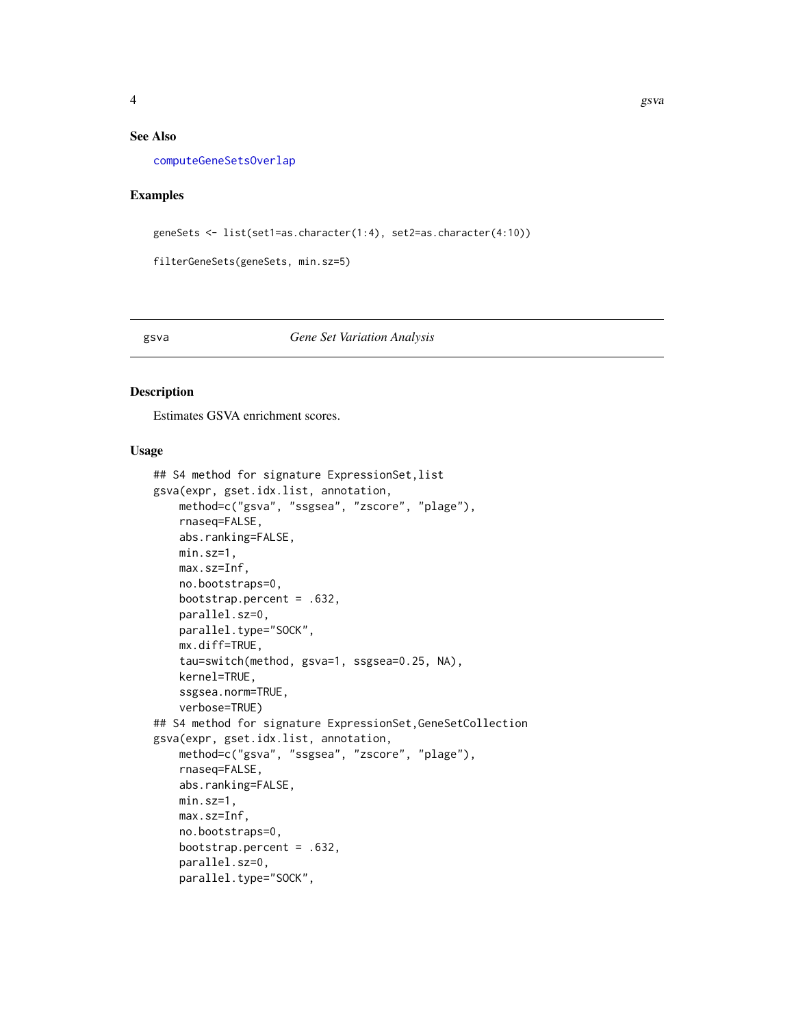#### <span id="page-3-0"></span>See Also

[computeGeneSetsOverlap](#page-1-1)

#### Examples

geneSets <- list(set1=as.character(1:4), set2=as.character(4:10))

filterGeneSets(geneSets, min.sz=5)

#### gsva *Gene Set Variation Analysis*

#### Description

Estimates GSVA enrichment scores.

#### Usage

```
## S4 method for signature ExpressionSet,list
gsva(expr, gset.idx.list, annotation,
    method=c("gsva", "ssgsea", "zscore", "plage"),
    rnaseq=FALSE,
    abs.ranking=FALSE,
    min.sz=1,
    max.sz=Inf,
    no.bootstraps=0,
    bootstrap.percent = .632,
    parallel.sz=0,
    parallel.type="SOCK",
    mx.diff=TRUE,
    tau=switch(method, gsva=1, ssgsea=0.25, NA),
    kernel=TRUE,
    ssgsea.norm=TRUE,
    verbose=TRUE)
## S4 method for signature ExpressionSet,GeneSetCollection
gsva(expr, gset.idx.list, annotation,
    method=c("gsva", "ssgsea", "zscore", "plage"),
    rnaseq=FALSE,
    abs.ranking=FALSE,
    min.sz=1,
    max.sz=Inf,
    no.bootstraps=0,
    bootstrap.percent = .632,
    parallel.sz=0,
    parallel.type="SOCK",
```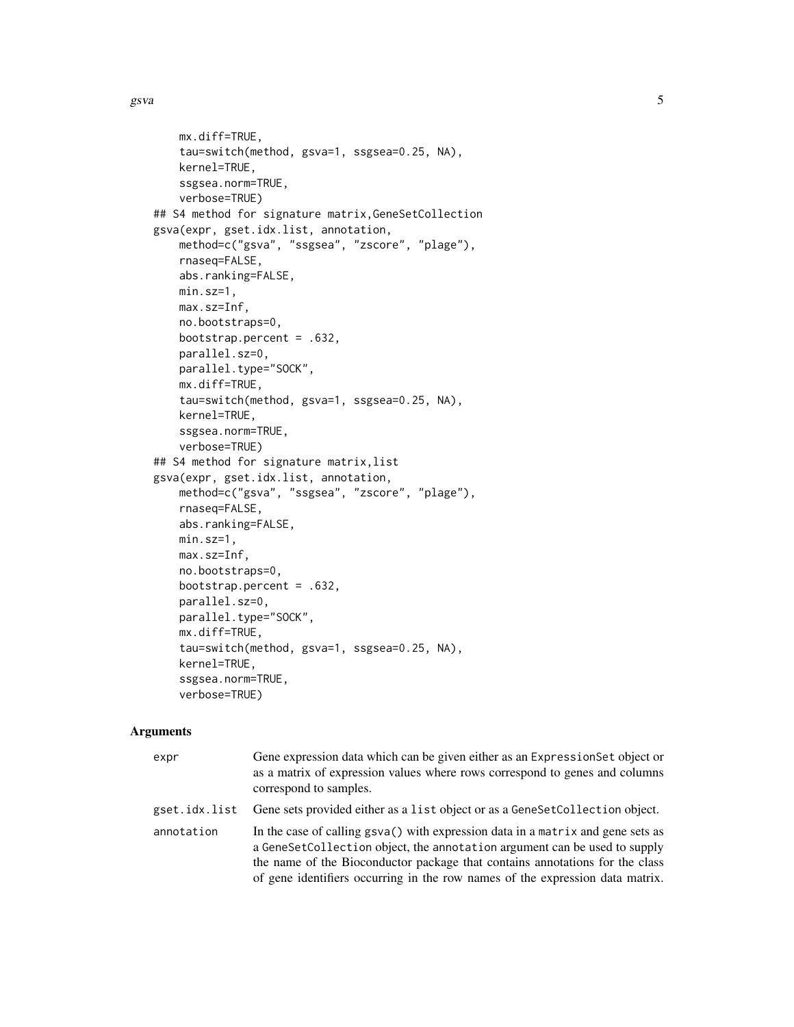```
mx.diff=TRUE,
    tau=switch(method, gsva=1, ssgsea=0.25, NA),
    kernel=TRUE,
    ssgsea.norm=TRUE,
    verbose=TRUE)
## S4 method for signature matrix,GeneSetCollection
gsva(expr, gset.idx.list, annotation,
   method=c("gsva", "ssgsea", "zscore", "plage"),
    rnaseq=FALSE,
    abs.ranking=FALSE,
   min.sz=1,
   max.sz=Inf,
   no.bootstraps=0,
   bootstrap.percent = .632,
   parallel.sz=0,
    parallel.type="SOCK",
   mx.diff=TRUE,
    tau=switch(method, gsva=1, ssgsea=0.25, NA),
   kernel=TRUE,
    ssgsea.norm=TRUE,
    verbose=TRUE)
## S4 method for signature matrix,list
gsva(expr, gset.idx.list, annotation,
    method=c("gsva", "ssgsea", "zscore", "plage"),
    rnaseq=FALSE,
   abs.ranking=FALSE,
   min.sz=1,
   max.sz=Inf,
   no.bootstraps=0,
   bootstrap.percent = .632,
    parallel.sz=0,
   parallel.type="SOCK",
   mx.diff=TRUE,
    tau=switch(method, gsva=1, ssgsea=0.25, NA),
    kernel=TRUE,
    ssgsea.norm=TRUE,
    verbose=TRUE)
```
#### Arguments

| expr          | Gene expression data which can be given either as an Expression Set object or<br>as a matrix of expression values where rows correspond to genes and columns<br>correspond to samples.                                                                                                                                        |
|---------------|-------------------------------------------------------------------------------------------------------------------------------------------------------------------------------------------------------------------------------------------------------------------------------------------------------------------------------|
| gset.idx.list | Gene sets provided either as a list object or as a GeneSetCollection object.                                                                                                                                                                                                                                                  |
| annotation    | In the case of calling gsva() with expression data in a matrix and gene sets as<br>a GeneSetCollection object, the annotation argument can be used to supply<br>the name of the Bioconductor package that contains annotations for the class<br>of gene identifiers occurring in the row names of the expression data matrix. |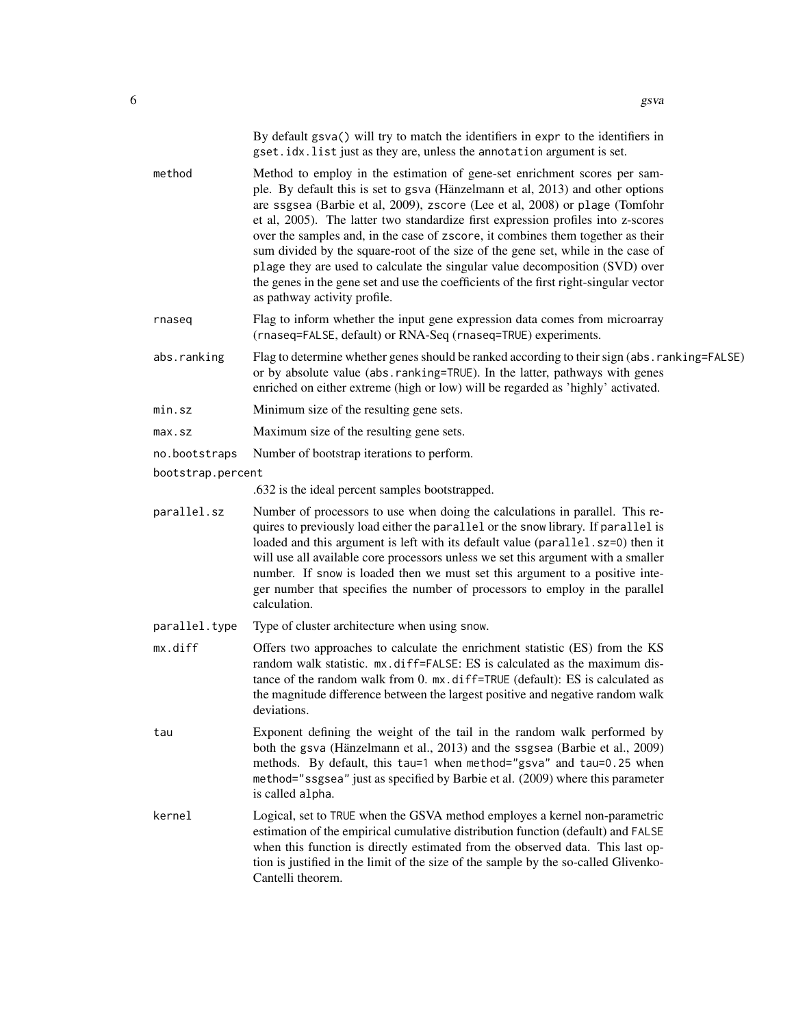|                   | By default gsva() will try to match the identifiers in expr to the identifiers in<br>gset.idx.list just as they are, unless the annotation argument is set.                                                                                                                                                                                                                                                                                                                                                                                                                                                                                                                                                    |
|-------------------|----------------------------------------------------------------------------------------------------------------------------------------------------------------------------------------------------------------------------------------------------------------------------------------------------------------------------------------------------------------------------------------------------------------------------------------------------------------------------------------------------------------------------------------------------------------------------------------------------------------------------------------------------------------------------------------------------------------|
| method            | Method to employ in the estimation of gene-set enrichment scores per sam-<br>ple. By default this is set to gsva (Hänzelmann et al, 2013) and other options<br>are ssgsea (Barbie et al, 2009), zscore (Lee et al, 2008) or plage (Tomfohr<br>et al, 2005). The latter two standardize first expression profiles into z-scores<br>over the samples and, in the case of zscore, it combines them together as their<br>sum divided by the square-root of the size of the gene set, while in the case of<br>plage they are used to calculate the singular value decomposition (SVD) over<br>the genes in the gene set and use the coefficients of the first right-singular vector<br>as pathway activity profile. |
| rnaseq            | Flag to inform whether the input gene expression data comes from microarray<br>(rnaseq=FALSE, default) or RNA-Seq (rnaseq=TRUE) experiments.                                                                                                                                                                                                                                                                                                                                                                                                                                                                                                                                                                   |
| abs.ranking       | Flag to determine whether genes should be ranked according to their sign (abs.ranking=FALSE)<br>or by absolute value (abs.ranking=TRUE). In the latter, pathways with genes<br>enriched on either extreme (high or low) will be regarded as 'highly' activated.                                                                                                                                                                                                                                                                                                                                                                                                                                                |
| min.sz            | Minimum size of the resulting gene sets.                                                                                                                                                                                                                                                                                                                                                                                                                                                                                                                                                                                                                                                                       |
| max.sz            | Maximum size of the resulting gene sets.                                                                                                                                                                                                                                                                                                                                                                                                                                                                                                                                                                                                                                                                       |
| no.bootstraps     | Number of bootstrap iterations to perform.                                                                                                                                                                                                                                                                                                                                                                                                                                                                                                                                                                                                                                                                     |
| bootstrap.percent |                                                                                                                                                                                                                                                                                                                                                                                                                                                                                                                                                                                                                                                                                                                |
|                   | .632 is the ideal percent samples bootstrapped.                                                                                                                                                                                                                                                                                                                                                                                                                                                                                                                                                                                                                                                                |
| parallel.sz       | Number of processors to use when doing the calculations in parallel. This re-<br>quires to previously load either the parallel or the snow library. If parallel is<br>loaded and this argument is left with its default value (parallel.sz=0) then it<br>will use all available core processors unless we set this argument with a smaller<br>number. If snow is loaded then we must set this argument to a positive inte-<br>ger number that specifies the number of processors to employ in the parallel<br>calculation.                                                                                                                                                                                     |
| parallel.type     | Type of cluster architecture when using snow.                                                                                                                                                                                                                                                                                                                                                                                                                                                                                                                                                                                                                                                                  |
| mx.diff           | Offers two approaches to calculate the enrichment statistic (ES) from the KS<br>random walk statistic. mx.diff=FALSE: ES is calculated as the maximum dis-<br>tance of the random walk from 0. mx.diff=TRUE (default): ES is calculated as<br>the magnitude difference between the largest positive and negative random walk<br>deviations.                                                                                                                                                                                                                                                                                                                                                                    |
| tau               | Exponent defining the weight of the tail in the random walk performed by<br>both the gsva (Hänzelmann et al., 2013) and the ssgsea (Barbie et al., 2009)<br>methods. By default, this tau=1 when method="gsva" and tau=0.25 when<br>method="ssgsea" just as specified by Barbie et al. (2009) where this parameter<br>is called alpha.                                                                                                                                                                                                                                                                                                                                                                         |
| kernel            | Logical, set to TRUE when the GSVA method employes a kernel non-parametric<br>estimation of the empirical cumulative distribution function (default) and FALSE<br>when this function is directly estimated from the observed data. This last op-<br>tion is justified in the limit of the size of the sample by the so-called Glivenko-<br>Cantelli theorem.                                                                                                                                                                                                                                                                                                                                                   |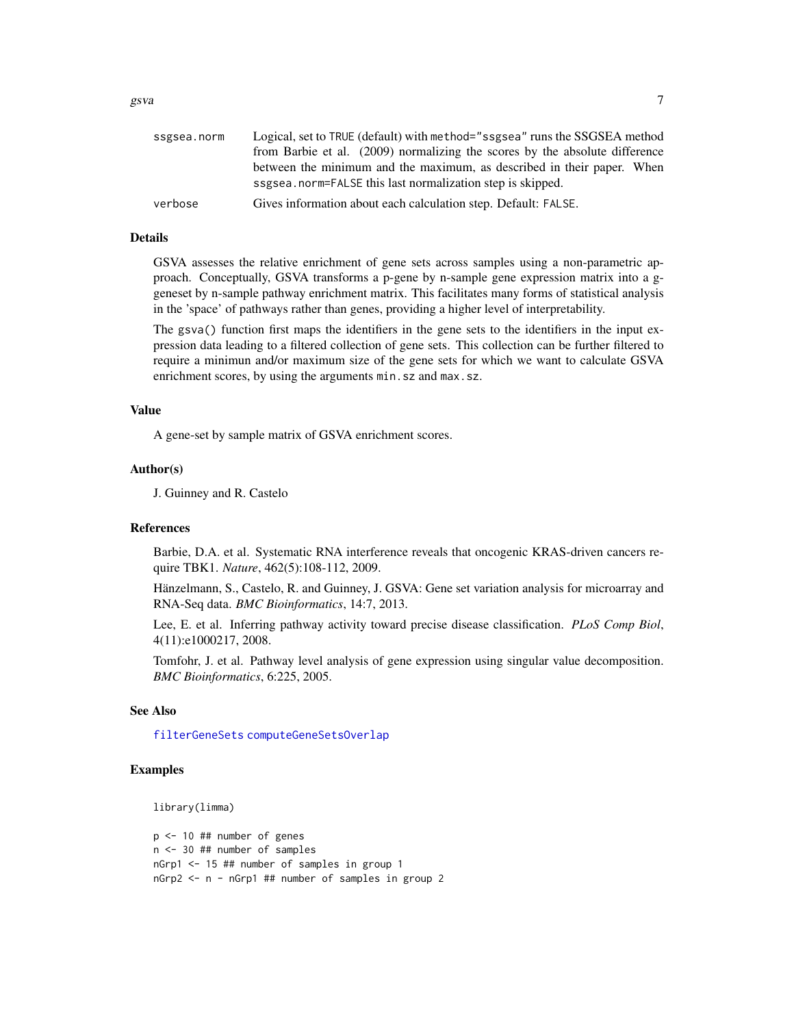| ssgsea.norm | Logical, set to TRUE (default) with method="ssgsea" runs the SSGSEA method  |
|-------------|-----------------------------------------------------------------------------|
|             | from Barbie et al. (2009) normalizing the scores by the absolute difference |
|             | between the minimum and the maximum, as described in their paper. When      |
|             | ssgsea.norm=FALSE this last normalization step is skipped.                  |
| verbose     | Gives information about each calculation step. Default: FALSE.              |
|             |                                                                             |

#### Details

GSVA assesses the relative enrichment of gene sets across samples using a non-parametric approach. Conceptually, GSVA transforms a p-gene by n-sample gene expression matrix into a ggeneset by n-sample pathway enrichment matrix. This facilitates many forms of statistical analysis in the 'space' of pathways rather than genes, providing a higher level of interpretability.

The gsva() function first maps the identifiers in the gene sets to the identifiers in the input expression data leading to a filtered collection of gene sets. This collection can be further filtered to require a minimun and/or maximum size of the gene sets for which we want to calculate GSVA enrichment scores, by using the arguments min.sz and max.sz.

#### Value

A gene-set by sample matrix of GSVA enrichment scores.

#### Author(s)

J. Guinney and R. Castelo

#### References

Barbie, D.A. et al. Systematic RNA interference reveals that oncogenic KRAS-driven cancers require TBK1. *Nature*, 462(5):108-112, 2009.

Hänzelmann, S., Castelo, R. and Guinney, J. GSVA: Gene set variation analysis for microarray and RNA-Seq data. *BMC Bioinformatics*, 14:7, 2013.

Lee, E. et al. Inferring pathway activity toward precise disease classification. *PLoS Comp Biol*, 4(11):e1000217, 2008.

Tomfohr, J. et al. Pathway level analysis of gene expression using singular value decomposition. *BMC Bioinformatics*, 6:225, 2005.

#### See Also

[filterGeneSets](#page-2-1) [computeGeneSetsOverlap](#page-1-1)

#### Examples

library(limma)

p <- 10 ## number of genes n <- 30 ## number of samples nGrp1 <- 15 ## number of samples in group 1 nGrp2 <- n - nGrp1 ## number of samples in group 2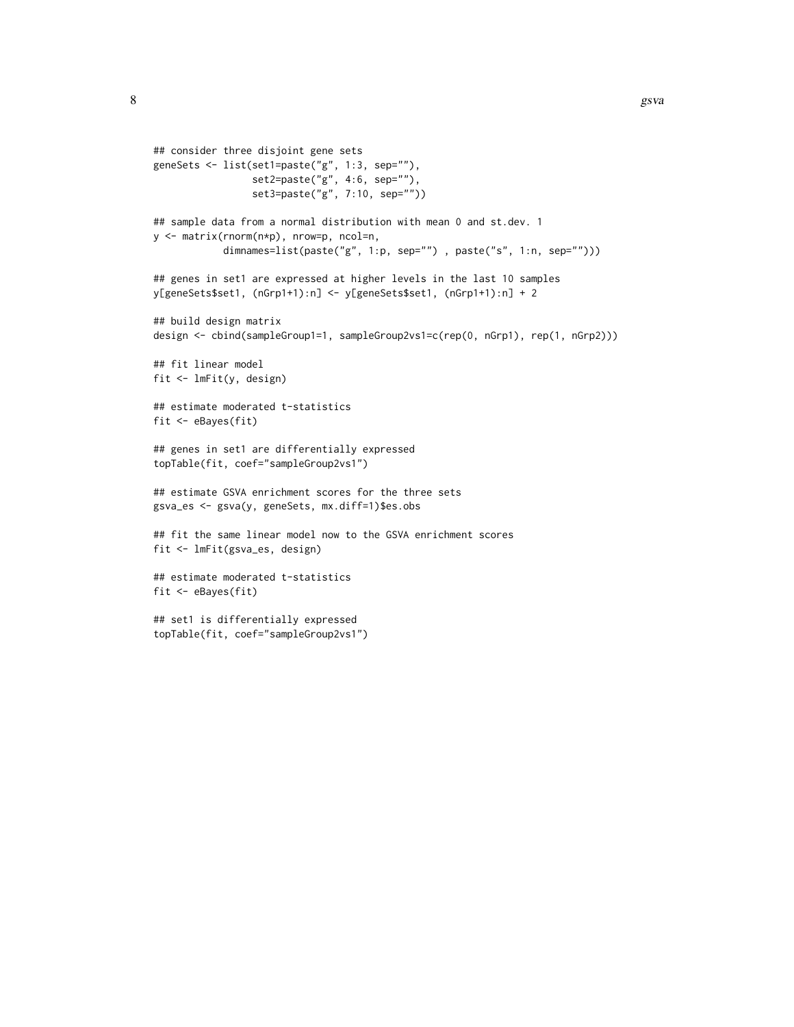```
## consider three disjoint gene sets
geneSets <- list(set1=paste("g", 1:3, sep=""),
                 set2=paste("g", 4:6, sep=""),
                 set3=paste("g", 7:10, sep=""))
## sample data from a normal distribution with mean 0 and st.dev. 1
y <- matrix(rnorm(n*p), nrow=p, ncol=n,
            dimnames=list(paste("g", 1:p, sep="") , paste("s", 1:n, sep="")))
## genes in set1 are expressed at higher levels in the last 10 samples
y[geneSets$set1, (nGrp1+1):n] <- y[geneSets$set1, (nGrp1+1):n] + 2
## build design matrix
design <- cbind(sampleGroup1=1, sampleGroup2vs1=c(rep(0, nGrp1), rep(1, nGrp2)))
## fit linear model
fit <- lmFit(y, design)
## estimate moderated t-statistics
fit <- eBayes(fit)
## genes in set1 are differentially expressed
topTable(fit, coef="sampleGroup2vs1")
## estimate GSVA enrichment scores for the three sets
gsva_es <- gsva(y, geneSets, mx.diff=1)$es.obs
## fit the same linear model now to the GSVA enrichment scores
fit <- lmFit(gsva_es, design)
## estimate moderated t-statistics
fit <- eBayes(fit)
## set1 is differentially expressed
topTable(fit, coef="sampleGroup2vs1")
```